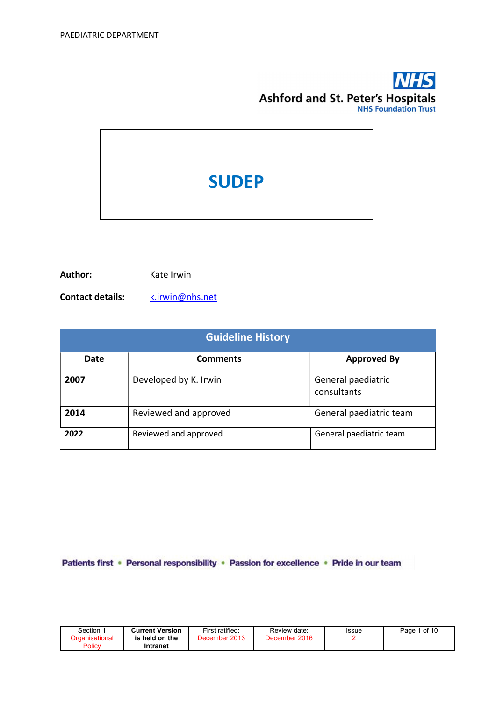# **NHS Ashford and St. Peter's Hospitals**

# **SUDEP**

Author: Kate Irwin

Contact details: k.irwin@nhs.net

| <b>Guideline History</b> |                       |                                   |  |  |  |
|--------------------------|-----------------------|-----------------------------------|--|--|--|
| Date                     | <b>Comments</b>       | <b>Approved By</b>                |  |  |  |
| 2007                     | Developed by K. Irwin | General paediatric<br>consultants |  |  |  |
| 2014                     | Reviewed and approved | General paediatric team           |  |  |  |
| 2022                     | Reviewed and approved | General paediatric team           |  |  |  |

Patients first • Personal responsibility • Passion for excellence • Pride in our team

| Section | <b>Current Version</b> | First ratified: | Review date:  | Issue | Page 1 of 10 |
|---------|------------------------|-----------------|---------------|-------|--------------|
|         | is held on the         | December 2013   | December 2016 |       |              |
| Policy  | Intranet               |                 |               |       |              |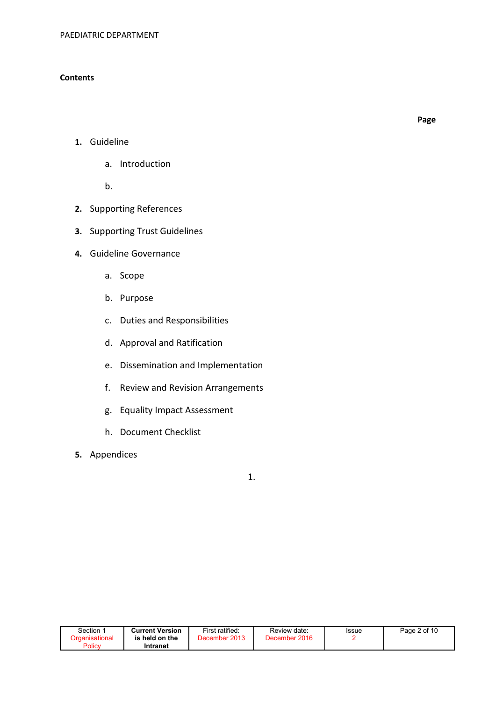# **Contents**

Page

- 1. Guideline
	- a. Introduction

b.

- 2. Supporting References
- 3. Supporting Trust Guidelines
- 4. Guideline Governance
	- a. Scope
	- b. Purpose
	- c. Duties and Responsibilities
	- d. Approval and Ratification
	- e. Dissemination and Implementation
	- f. Review and Revision Arrangements
	- g. Equality Impact Assessment
	- h. Document Checklist
- 5. Appendices

1.

| Section               | Current Version | First ratified: | Review date:  | Issue | Page 2 of 10 |
|-----------------------|-----------------|-----------------|---------------|-------|--------------|
| <b>Organisational</b> | is held on the  | December 2013   | December 2016 |       |              |
| Policy                | Intranet        |                 |               |       |              |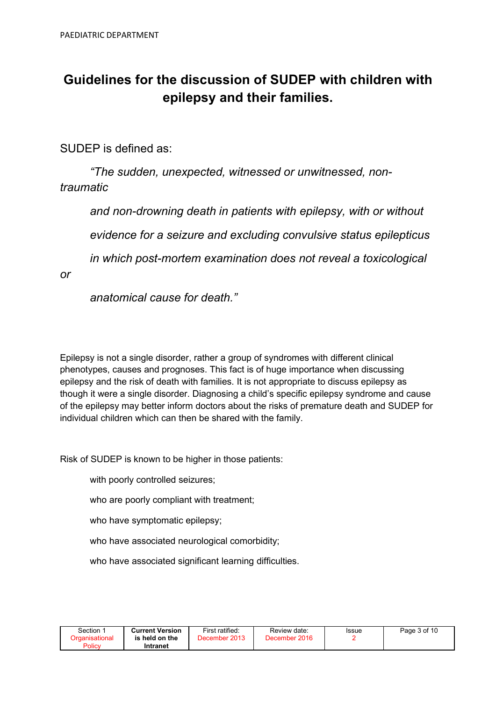# Guidelines for the discussion of SUDEP with children with epilepsy and their families.

SUDEP is defined as:

"The sudden, unexpected, witnessed or unwitnessed, nontraumatic

 and non-drowning death in patients with epilepsy, with or without evidence for a seizure and excluding convulsive status epilepticus in which post-mortem examination does not reveal a toxicological

or

anatomical cause for death."

Epilepsy is not a single disorder, rather a group of syndromes with different clinical phenotypes, causes and prognoses. This fact is of huge importance when discussing epilepsy and the risk of death with families. It is not appropriate to discuss epilepsy as though it were a single disorder. Diagnosing a child's specific epilepsy syndrome and cause of the epilepsy may better inform doctors about the risks of premature death and SUDEP for individual children which can then be shared with the family.

Risk of SUDEP is known to be higher in those patients:

with poorly controlled seizures;

who are poorly compliant with treatment;

who have symptomatic epilepsy;

who have associated neurological comorbidity;

who have associated significant learning difficulties.

| Section ∵                       | <b>Current Version</b>     | First ratified: | Review date:  | Issue | Page 3 of 10 |
|---------------------------------|----------------------------|-----------------|---------------|-------|--------------|
| <b>Organisational</b><br>Policy | is held on the<br>Intranet | December 2013   | December 2016 |       |              |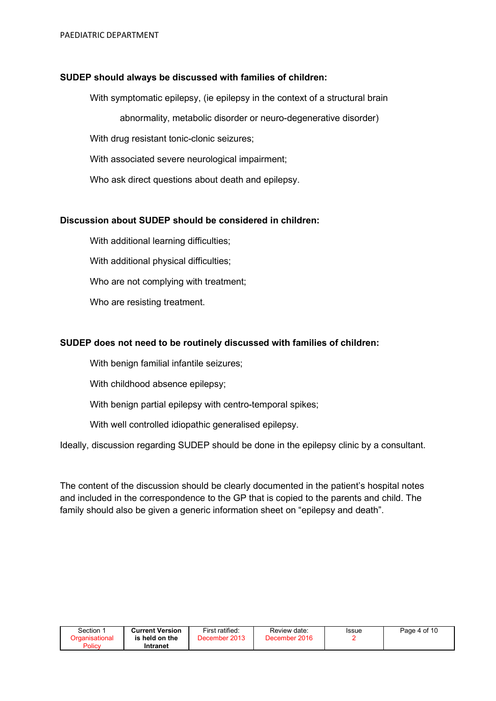# SUDEP should always be discussed with families of children:

With symptomatic epilepsy, (ie epilepsy in the context of a structural brain

abnormality, metabolic disorder or neuro-degenerative disorder)

With drug resistant tonic-clonic seizures;

With associated severe neurological impairment;

Who ask direct questions about death and epilepsy.

# Discussion about SUDEP should be considered in children:

With additional learning difficulties;

With additional physical difficulties;

Who are not complying with treatment;

Who are resisting treatment.

# SUDEP does not need to be routinely discussed with families of children:

With benign familial infantile seizures;

With childhood absence epilepsy;

With benign partial epilepsy with centro-temporal spikes;

With well controlled idiopathic generalised epilepsy.

Ideally, discussion regarding SUDEP should be done in the epilepsy clinic by a consultant.

The content of the discussion should be clearly documented in the patient's hospital notes and included in the correspondence to the GP that is copied to the parents and child. The family should also be given a generic information sheet on "epilepsy and death".

| Section $\, \dot{} \,$   | <b>Current Version</b> | First ratified:   | Review date:  | Issue | Page 4 of 10 |
|--------------------------|------------------------|-------------------|---------------|-------|--------------|
| Drɑanisational<br>Policy | is held on the         | 2013<br>December' | December 2016 |       |              |
|                          | Intranet               |                   |               |       |              |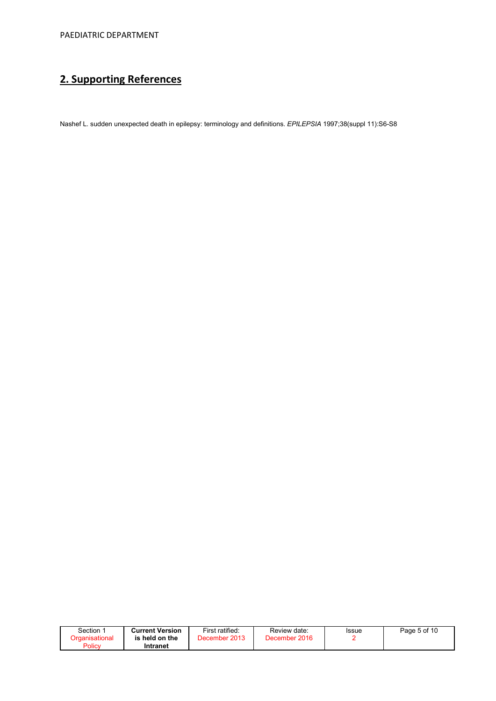# 2. Supporting References

Nashef L. sudden unexpected death in epilepsy: terminology and definitions. EPILEPSIA 1997;38(suppl 11):S6-S8

| Section $\, \dot{} \,$<br>Organisational | <b>Current Version</b><br>is held on the | First ratified:<br>December 2013 | Review date:<br>December 2016 | Issue | Page 5 of 10 |
|------------------------------------------|------------------------------------------|----------------------------------|-------------------------------|-------|--------------|
| Policy                                   | Intranet                                 |                                  |                               |       |              |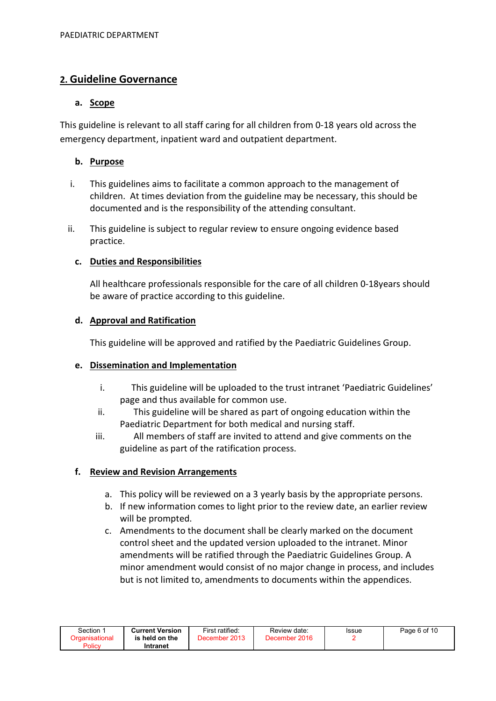# 2. Guideline Governance

# a. Scope

This guideline is relevant to all staff caring for all children from 0-18 years old across the emergency department, inpatient ward and outpatient department.

# b. Purpose

- i. This guidelines aims to facilitate a common approach to the management of children. At times deviation from the guideline may be necessary, this should be documented and is the responsibility of the attending consultant.
- ii. This guideline is subject to regular review to ensure ongoing evidence based practice.

# c. Duties and Responsibilities

All healthcare professionals responsible for the care of all children 0-18years should be aware of practice according to this guideline.

# d. Approval and Ratification

This guideline will be approved and ratified by the Paediatric Guidelines Group.

# e. Dissemination and Implementation

- i. This guideline will be uploaded to the trust intranet 'Paediatric Guidelines' page and thus available for common use.
- ii. This guideline will be shared as part of ongoing education within the Paediatric Department for both medical and nursing staff.
- iii. All members of staff are invited to attend and give comments on the guideline as part of the ratification process.

# f. Review and Revision Arrangements

- a. This policy will be reviewed on a 3 yearly basis by the appropriate persons.
- b. If new information comes to light prior to the review date, an earlier review will be prompted.
- c. Amendments to the document shall be clearly marked on the document control sheet and the updated version uploaded to the intranet. Minor amendments will be ratified through the Paediatric Guidelines Group. A minor amendment would consist of no major change in process, and includes but is not limited to, amendments to documents within the appendices.

| Section 1      | <b>Current Version</b> | First ratified: | Review date:  | <b>Issue</b> | Page 6 of 10 |
|----------------|------------------------|-----------------|---------------|--------------|--------------|
| Organisational | is held on the         | December 2013   | December 2016 |              |              |
| Policy         | Intranet               |                 |               |              |              |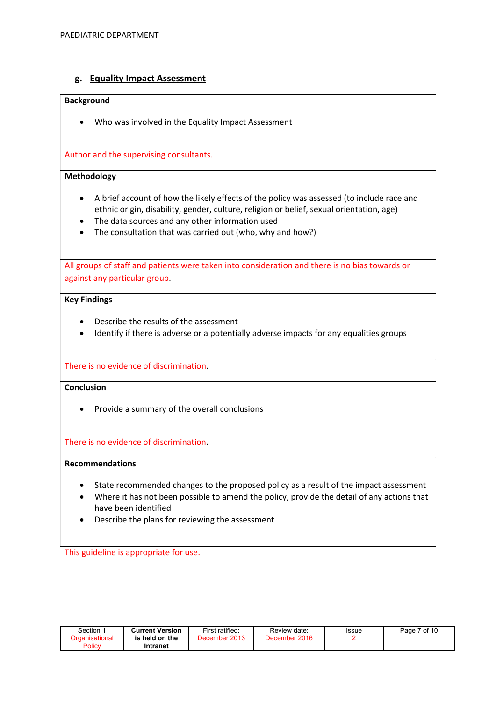# g. Equality Impact Assessment

#### **Background**

Who was involved in the Equality Impact Assessment

Author and the supervising consultants.

### Methodology

- A brief account of how the likely effects of the policy was assessed (to include race and ethnic origin, disability, gender, culture, religion or belief, sexual orientation, age)
- The data sources and any other information used
- The consultation that was carried out (who, why and how?)

All groups of staff and patients were taken into consideration and there is no bias towards or against any particular group.

### Key Findings

- Describe the results of the assessment
- Identify if there is adverse or a potentially adverse impacts for any equalities groups

There is no evidence of discrimination.

### **Conclusion**

• Provide a summary of the overall conclusions

There is no evidence of discrimination.

## Recommendations

- State recommended changes to the proposed policy as a result of the impact assessment
- Where it has not been possible to amend the policy, provide the detail of any actions that have been identified
- Describe the plans for reviewing the assessment

This guideline is appropriate for use.

| Section ∵      | <b>Current Version</b> | First ratified: | Review date:  | Issue | 7 of 10 |
|----------------|------------------------|-----------------|---------------|-------|---------|
| Organisational | is held on the         | December 2013   | December 2016 |       | Page    |
| Policy         | Intranet               |                 |               |       |         |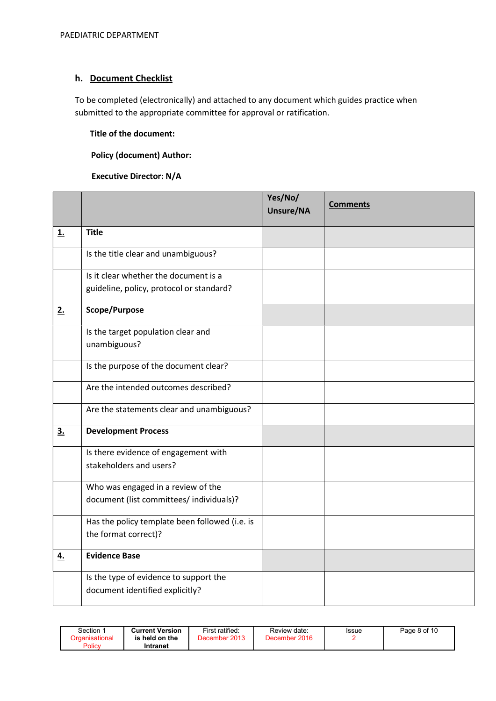# h. Document Checklist

To be completed (electronically) and attached to any document which guides practice when submitted to the appropriate committee for approval or ratification.

# Title of the document:

# Policy (document) Author:

# Executive Director: N/A

|                |                                                | Yes/No/<br>Unsure/NA | <b>Comments</b> |
|----------------|------------------------------------------------|----------------------|-----------------|
| <u>1.</u>      | <b>Title</b>                                   |                      |                 |
|                | Is the title clear and unambiguous?            |                      |                 |
|                | Is it clear whether the document is a          |                      |                 |
|                | guideline, policy, protocol or standard?       |                      |                 |
| 2.             | Scope/Purpose                                  |                      |                 |
|                | Is the target population clear and             |                      |                 |
|                | unambiguous?                                   |                      |                 |
|                | Is the purpose of the document clear?          |                      |                 |
|                | Are the intended outcomes described?           |                      |                 |
|                | Are the statements clear and unambiguous?      |                      |                 |
| 3 <sub>1</sub> | <b>Development Process</b>                     |                      |                 |
|                | Is there evidence of engagement with           |                      |                 |
|                | stakeholders and users?                        |                      |                 |
|                | Who was engaged in a review of the             |                      |                 |
|                | document (list committees/ individuals)?       |                      |                 |
|                | Has the policy template been followed (i.e. is |                      |                 |
|                | the format correct)?                           |                      |                 |
| 4.             | <b>Evidence Base</b>                           |                      |                 |
|                | Is the type of evidence to support the         |                      |                 |
|                | document identified explicitly?                |                      |                 |

| Section :<br>Organisational<br>Policy | <b>Current Version</b><br>is held on the<br>Intranet | First ratified:<br>December 2013 | Review date:<br>December 2016 | <b>Issue</b> | Page 8 of 10 |
|---------------------------------------|------------------------------------------------------|----------------------------------|-------------------------------|--------------|--------------|
|---------------------------------------|------------------------------------------------------|----------------------------------|-------------------------------|--------------|--------------|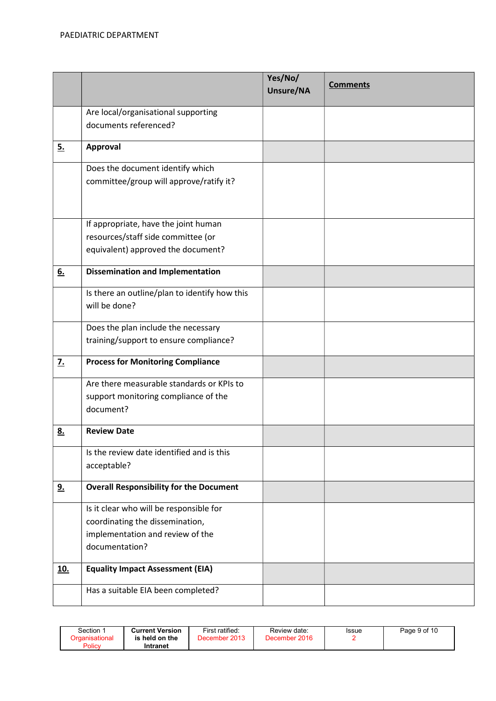|                   |                                                              | Yes/No/<br>Unsure/NA | <b>Comments</b> |
|-------------------|--------------------------------------------------------------|----------------------|-----------------|
|                   |                                                              |                      |                 |
|                   | Are local/organisational supporting<br>documents referenced? |                      |                 |
|                   |                                                              |                      |                 |
| <u>5.</u>         | <b>Approval</b>                                              |                      |                 |
|                   | Does the document identify which                             |                      |                 |
|                   | committee/group will approve/ratify it?                      |                      |                 |
|                   |                                                              |                      |                 |
|                   | If appropriate, have the joint human                         |                      |                 |
|                   | resources/staff side committee (or                           |                      |                 |
|                   | equivalent) approved the document?                           |                      |                 |
| 6.                | <b>Dissemination and Implementation</b>                      |                      |                 |
|                   | Is there an outline/plan to identify how this                |                      |                 |
|                   | will be done?                                                |                      |                 |
|                   | Does the plan include the necessary                          |                      |                 |
|                   | training/support to ensure compliance?                       |                      |                 |
| $\underline{7}$ . | <b>Process for Monitoring Compliance</b>                     |                      |                 |
|                   | Are there measurable standards or KPIs to                    |                      |                 |
|                   | support monitoring compliance of the                         |                      |                 |
|                   | document?                                                    |                      |                 |
| <u>8.</u>         | <b>Review Date</b>                                           |                      |                 |
|                   | Is the review date identified and is this                    |                      |                 |
|                   | acceptable?                                                  |                      |                 |
| 9.                | <b>Overall Responsibility for the Document</b>               |                      |                 |
|                   | Is it clear who will be responsible for                      |                      |                 |
|                   | coordinating the dissemination,                              |                      |                 |
|                   | implementation and review of the                             |                      |                 |
|                   | documentation?                                               |                      |                 |
| <u>10.</u>        | <b>Equality Impact Assessment (EIA)</b>                      |                      |                 |
|                   | Has a suitable EIA been completed?                           |                      |                 |

| Section<br>Organisational<br>Policy | First ratified:<br><b>Current Version</b><br>December 2013<br>is held on the<br>Intranet | Review date:<br>December 2016 | Issue | Page 9 of 10 |
|-------------------------------------|------------------------------------------------------------------------------------------|-------------------------------|-------|--------------|
|-------------------------------------|------------------------------------------------------------------------------------------|-------------------------------|-------|--------------|